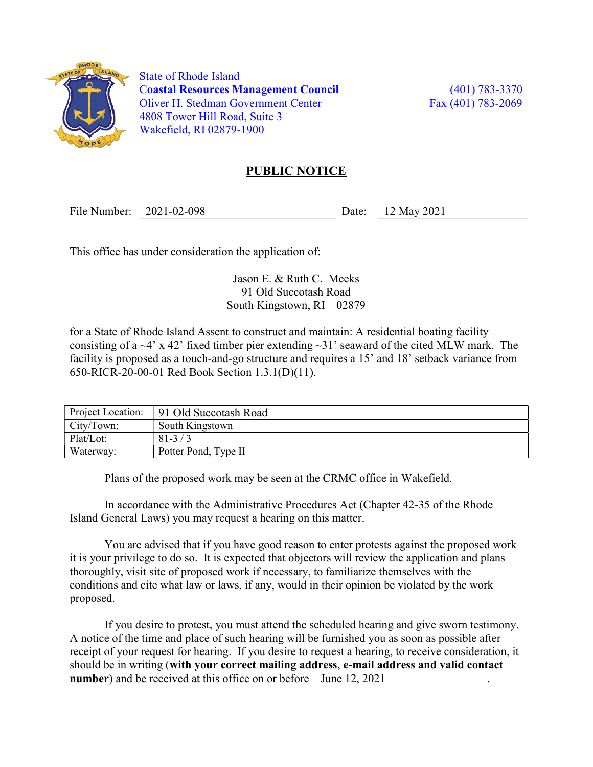

 State of Rhode Island Coastal Resources Management Council (401) 783-3370 Oliver H. Stedman Government Center Fax (401) 783-2069 4808 Tower Hill Road, Suite 3 Wakefield, RI 02879-1900

## PUBLIC NOTICE

File Number: 2021-02-098 Date: 12 May 2021

This office has under consideration the application of:

Jason E. & Ruth C. Meeks 91 Old Succotash Road South Kingstown, RI 02879

for a State of Rhode Island Assent to construct and maintain: A residential boating facility consisting of a  $-4$ ' x 42' fixed timber pier extending  $-31$ ' seaward of the cited MLW mark. The facility is proposed as a touch-and-go structure and requires a 15' and 18' setback variance from 650-RICR-20-00-01 Red Book Section 1.3.1(D)(11).

| Project Location: | 91 Old Succotash Road |
|-------------------|-----------------------|
| City/Town:        | South Kingstown       |
| Plat/Lot:         | $81-3/3$              |
| Waterway:         | Potter Pond, Type II  |

Plans of the proposed work may be seen at the CRMC office in Wakefield.

In accordance with the Administrative Procedures Act (Chapter 42-35 of the Rhode Island General Laws) you may request a hearing on this matter.

You are advised that if you have good reason to enter protests against the proposed work it is your privilege to do so. It is expected that objectors will review the application and plans thoroughly, visit site of proposed work if necessary, to familiarize themselves with the conditions and cite what law or laws, if any, would in their opinion be violated by the work proposed.

If you desire to protest, you must attend the scheduled hearing and give sworn testimony. A notice of the time and place of such hearing will be furnished you as soon as possible after receipt of your request for hearing. If you desire to request a hearing, to receive consideration, it should be in writing (with your correct mailing address, e-mail address and valid contact number) and be received at this office on or before June 12, 2021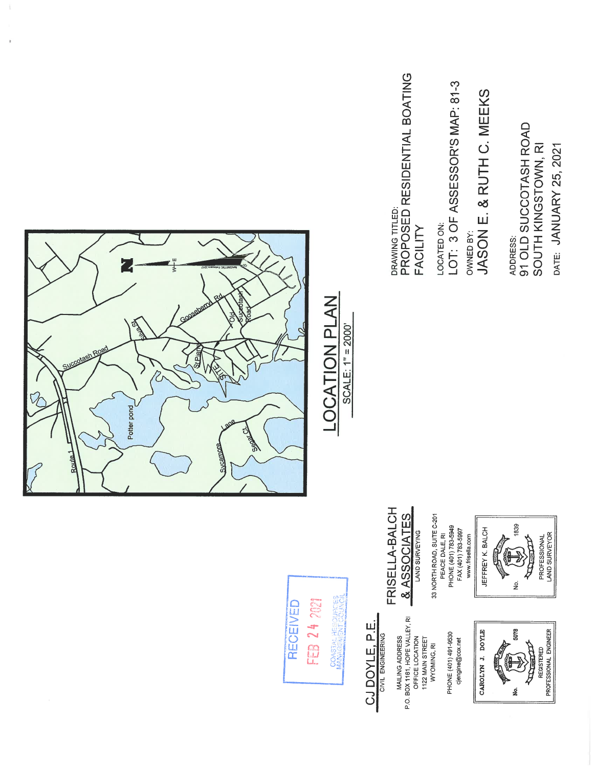



## CJ DOYLE, P.E. CIVIL ENGINEERING

MAILING ADDRESS<br>P.O. BOX 1161, HOPE VALLEY, RI<br>OFFICE LOCATION<br>1122 MAIN STREET<br>WYOMING, RI

PHONE (401) 491-9530 cjengine@cox.net



REGISTERED<br>PROFESSIONAL ENGINEER

& ASSOCIATES

FRISELLA-BALCH

33 NORTH ROAD, SUITE C-201<br>PEACE DALE, RI

PHONE (401) 783-5949<br>FAX (401) 783-5997

JEFFREY K. BALCH www.frisella.com B

PROFESSIONAL<br>LAND SURVEYOR 白山  $\frac{\dot{\mathsf{p}}}{2}$ 

1839

ADDRESS:<br>91 OLD SUCCOTASH ROAD

SOUTH KINGSTOWN, RI DATE: JANUARY 25, 2021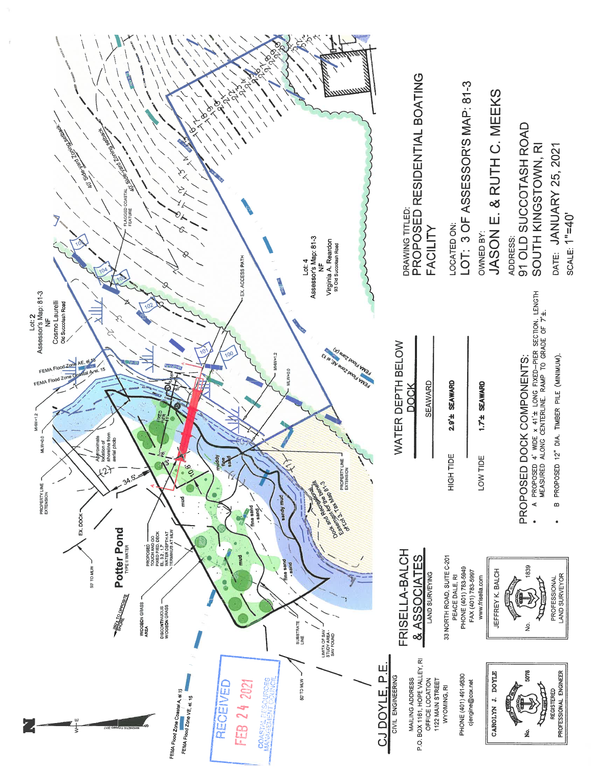